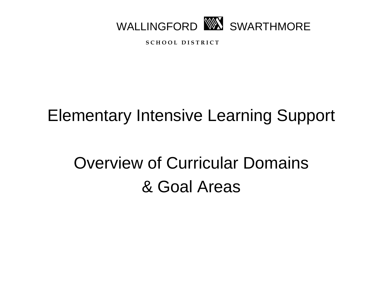

**S C H O O L D I S T R I C T**

## Elementary Intensive Learning Support

# Overview of Curricular Domains & Goal Areas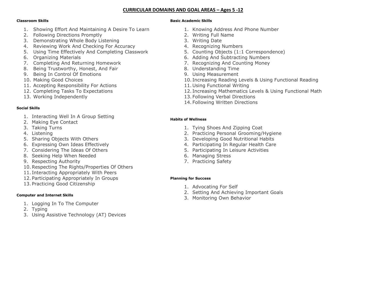#### **CURRICULAR DOMAINS AND GOAL AREAS – Ages 5 -12**

#### **Classroom Skills**

- 1. Showing Effort And Maintaining A Desire To Learn
- 2. Following Directions Promptly
- 3. Demonstrating Whole Body Listening
- 4. Reviewing Work And Checking For Accuracy
- 5. Using Time Effectively And Completing Classwork
- 6. Organizing Materials
- 7. Completing And Returning Homework
- 8. Being Trustworthy, Honest, And Fair
- 9. Being In Control Of Emotions
- 10. Making Good Choices
- 11. Accepting Responsibility For Actions
- 12. Completing Tasks To Expectations
- 13. Working Independently

#### **Social Skills**

- 1. Interacting Well In A Group Setting
- 2. Making Eye Contact
- 3. Taking Turns
- 4. Listening
- 5. Sharing Objects With Others
- 6. Expressing Own Ideas Effectively
- 7. Considering The Ideas Of Others
- 8. Seeking Help When Needed
- 9. Respecting Authority
- 10.Respecting The Rights/Properties Of Others
- 11. Interacting Appropriately With Peers
- 12. Participating Appropriately In Groups
- 13. Practicing Good Citizenship

#### **Computer and Internet Skills**

- 1. Logging In To The Computer
- 2. Typing
- 3. Using Assistive Technology (AT) Devices

#### **Basic Academic Skills**

- 1. Knowing Address And Phone Number
- 2. Writing Full Name
- 3. Writing Date
- 4. Recognizing Numbers
- 5. Counting Objects (1:1 Correspondence)
- 6. Adding And Subtracting Numbers
- 7. Recognizing And Counting Money
- 8. Understanding Time
- 9. Using Measurement
- 10. Increasing Reading Levels & Using Functional Reading
- 11. Using Functional Writing
- 12. Increasing Mathematics Levels & Using Functional Math
- 13. Following Verbal Directions
- 14. Following Written Directions

#### **Habits of Wellness**

- 1. Tying Shoes And Zipping Coat
- 2. Practicing Personal Grooming/Hygiene
- 3. Developing Good Nutritional Habits
- 4. Participating In Regular Health Care
- 5. Participating In Leisure Activities
- 6. Managing Stress
- 7. Practicing Safety

#### **Planning for Success**

- 1. Advocating For Self
- 2. Setting And Achieving Important Goals
- 3. Monitoring Own Behavior